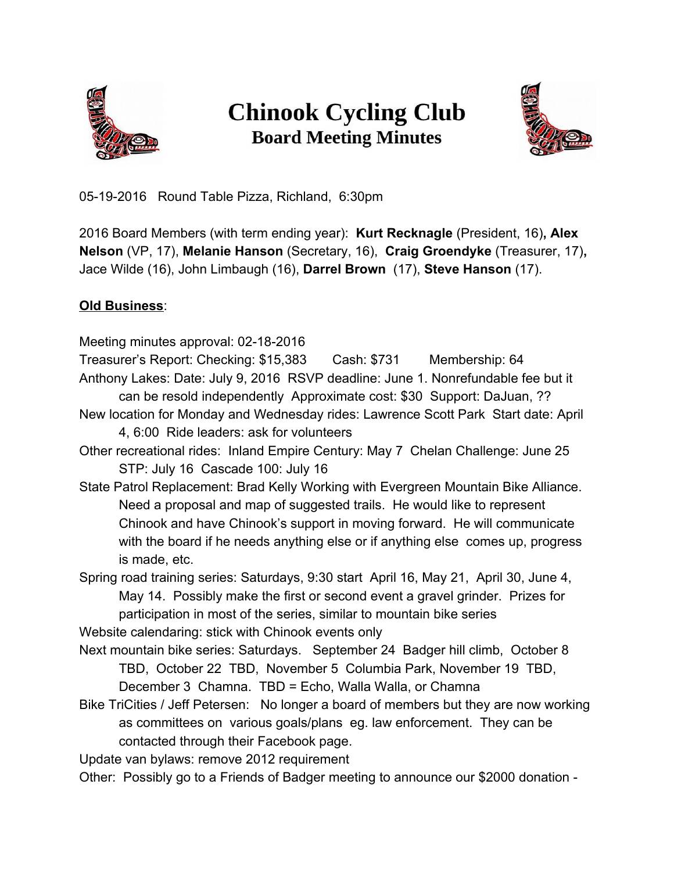

## **Chinook Cycling Club Board Meeting Minutes**



05-19-2016 Round Table Pizza, Richland, 6:30pm

2016 Board Members (with term ending year): **Kurt Recknagle** (President, 16)**, Alex Nelson** (VP, 17), **Melanie Hanson** (Secretary, 16), **Craig Groendyke** (Treasurer, 17)**,** Jace Wilde (16), John Limbaugh (16), **Darrel Brown**(17), **Steve Hanson**(17).

## **Old Business**:

Meeting minutes approval: 02-18-2016 Treasurer's Report: Checking: \$15,383 Cash: \$731 Membership: 64 Anthony Lakes: Date: July 9, 2016 RSVP deadline: June 1. Nonrefundable fee but it can be resold independently Approximate cost: \$30 Support: DaJuan, ?? New location for Monday and Wednesday rides: Lawrence Scott Park Start date: April 4, 6:00 Ride leaders: ask for volunteers Other recreational rides: Inland Empire Century: May 7 Chelan Challenge: June 25 STP: July 16 Cascade 100: July 16 State Patrol Replacement: Brad Kelly Working with Evergreen Mountain Bike Alliance. Need a proposal and map of suggested trails. He would like to represent Chinook and have Chinook's support in moving forward. He will communicate with the board if he needs anything else or if anything else comes up, progress is made, etc. Spring road training series: Saturdays, 9:30 start April 16, May 21, April 30, June 4, May 14. Possibly make the first or second event a gravel grinder. Prizes for participation in most of the series, similar to mountain bike series Website calendaring: stick with Chinook events only Next mountain bike series: Saturdays. September 24 Badger hill climb, October 8 TBD, October 22 TBD, November 5 Columbia Park, November 19 TBD, December 3 Chamna. TBD = Echo, Walla Walla, or Chamna Bike TriCities / Jeff Petersen: No longer a board of members but they are now working as committees on various goals/plans eg. law enforcement. They can be contacted through their Facebook page.

Update van bylaws: remove 2012 requirement

Other: Possibly go to a Friends of Badger meeting to announce our \$2000 donation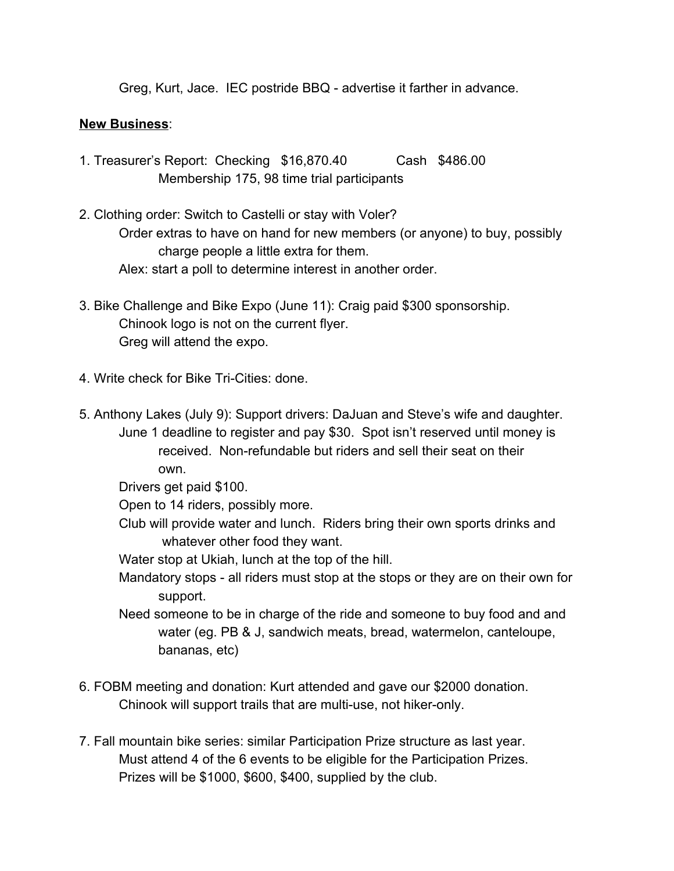Greg, Kurt, Jace. IEC postride BBQ - advertise it farther in advance.

## **New Business**:

- 1. Treasurer's Report: Checking \$16,870.40 Cash \$486.00 Membership 175, 98 time trial participants
- 2. Clothing order: Switch to Castelli or stay with Voler? Order extras to have on hand for new members (or anyone) to buy, possibly charge people a little extra for them. Alex: start a poll to determine interest in another order.
- 3. Bike Challenge and Bike Expo (June 11): Craig paid \$300 sponsorship. Chinook logo is not on the current flyer. Greg will attend the expo.
- 4. Write check for Bike Tri-Cities: done.
- 5. Anthony Lakes (July 9): Support drivers: DaJuan and Steve's wife and daughter. June 1 deadline to register and pay \$30. Spot isn't reserved until money is received. Non-refundable but riders and sell their seat on their own.

Drivers get paid \$100.

Open to 14 riders, possibly more.

Club will provide water and lunch. Riders bring their own sports drinks and whatever other food they want.

Water stop at Ukiah, lunch at the top of the hill.

- Mandatory stops all riders must stop at the stops or they are on their own for support.
- Need someone to be in charge of the ride and someone to buy food and and water (eg. PB & J, sandwich meats, bread, watermelon, canteloupe, bananas, etc)
- 6. FOBM meeting and donation: Kurt attended and gave our \$2000 donation. Chinook will support trails that are multi-use, not hiker-only.
- 7. Fall mountain bike series: similar Participation Prize structure as last year. Must attend 4 of the 6 events to be eligible for the Participation Prizes. Prizes will be \$1000, \$600, \$400, supplied by the club.